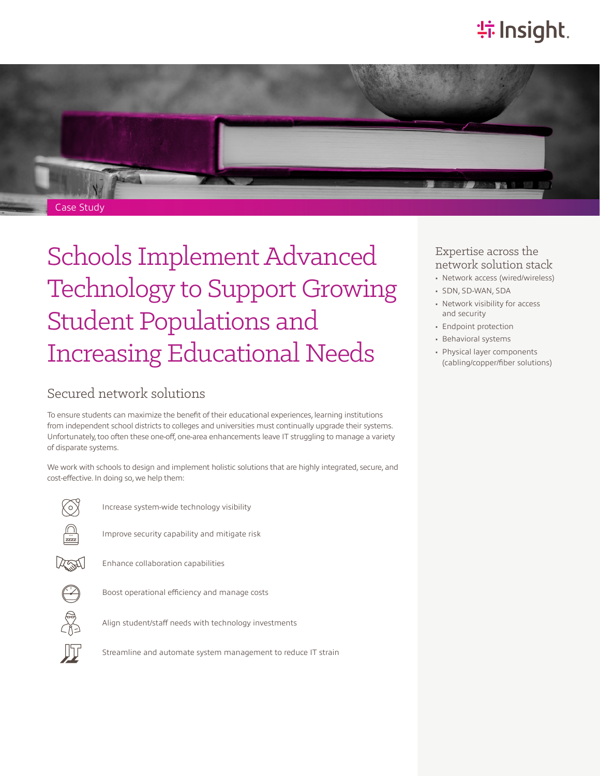# **特 Insight**.



# Schools Implement Advanced Technology to Support Growing Student Populations and Increasing Educational Needs

## Secured network solutions

To ensure students can maximize the benefit of their educational experiences, learning institutions from independent school districts to colleges and universities must continually upgrade their systems. Unfortunately, too often these one-off, one-area enhancements leave IT struggling to manage a variety of disparate systems.

We work with schools to design and implement holistic solutions that are highly integrated, secure, and cost-effective. In doing so, we help them:



Increase system-wide technology visibility



Improve security capability and mitigate risk



Enhance collaboration capabilities



Boost operational efficiency and manage costs



Align student/staff needs with technology investments



Streamline and automate system management to reduce IT strain

## Expertise across the network solution stack

- Network access (wired/wireless)
- SDN, SD-WAN, SDA
- Network visibility for access and security
- Endpoint protection
- Behavioral systems
- Physical layer components (cabling/copper/fiber solutions)